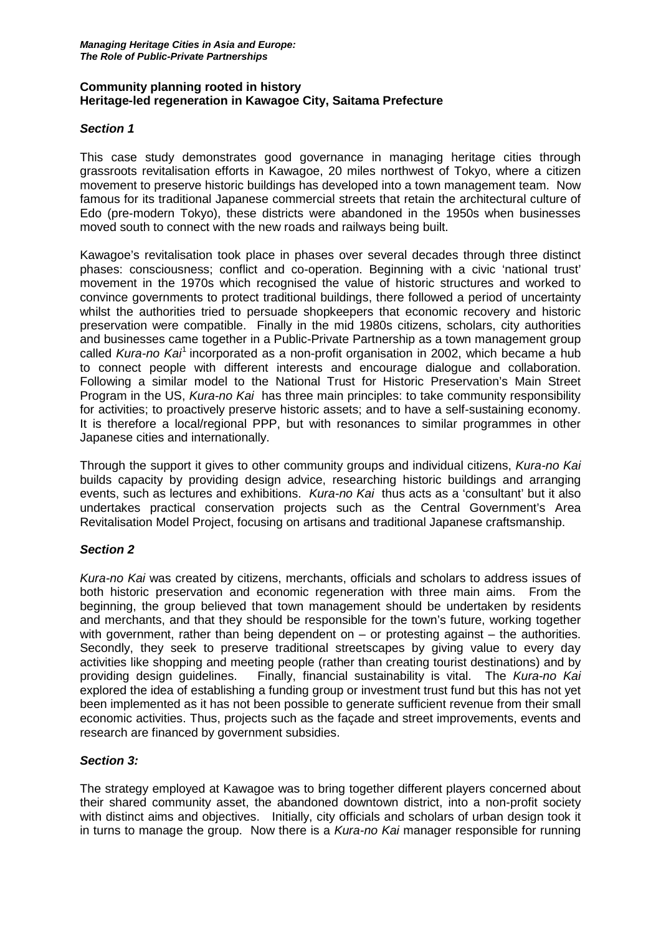### **Community planning rooted in history Heritage-led regeneration in Kawagoe City, Saitama Prefecture**

### *Section 1*

This case study demonstrates good governance in managing heritage cities through grassroots revitalisation efforts in Kawagoe, 20 miles northwest of Tokyo, where a citizen movement to preserve historic buildings has developed into a town management team. Now famous for its traditional Japanese commercial streets that retain the architectural culture of Edo (pre-modern Tokyo), these districts were abandoned in the 1950s when businesses moved south to connect with the new roads and railways being built.

Kawagoe's revitalisation took place in phases over several decades through three distinct phases: consciousness; conflict and co-operation. Beginning with a civic 'national trust' movement in the 1970s which recognised the value of historic structures and worked to convince governments to protect traditional buildings, there followed a period of uncertainty whilst the authorities tried to persuade shopkeepers that economic recovery and historic preservation were compatible. Finally in the mid 1980s citizens, scholars, city authorities and businesses came together in a Public-Private Partnership as a town management group called *Kura-no Kai*[1](#page-3-0) incorporated as a non-profit organisation in 2002, which became a hub to connect people with different interests and encourage dialogue and collaboration. Following a similar model to the National Trust for Historic Preservation's Main Street Program in the US, *Kura-no Kai* has three main principles: to take community responsibility for activities; to proactively preserve historic assets; and to have a self-sustaining economy. It is therefore a local/regional PPP, but with resonances to similar programmes in other Japanese cities and internationally.

Through the support it gives to other community groups and individual citizens, *Kura-no Kai*  builds capacity by providing design advice, researching historic buildings and arranging events, such as lectures and exhibitions. *Kura-no Kai* thus acts as a 'consultant' but it also undertakes practical conservation projects such as the Central Government's Area Revitalisation Model Project, focusing on artisans and traditional Japanese craftsmanship.

#### *Section 2*

*Kura-no Kai* was created by citizens, merchants, officials and scholars to address issues of both historic preservation and economic regeneration with three main aims. From the beginning, the group believed that town management should be undertaken by residents and merchants, and that they should be responsible for the town's future, working together with government, rather than being dependent on  $-$  or protesting against  $-$  the authorities. Secondly, they seek to preserve traditional streetscapes by giving value to every day activities like shopping and meeting people (rather than creating tourist destinations) and by providing design guidelines. Finally, financial sustainability is vital. The *Kura-no Kai*  explored the idea of establishing a funding group or investment trust fund but this has not yet been implemented as it has not been possible to generate sufficient revenue from their small economic activities. Thus, projects such as the façade and street improvements, events and research are financed by government subsidies.

#### *Section 3:*

The strategy employed at Kawagoe was to bring together different players concerned about their shared community asset, the abandoned downtown district, into a non-profit society with distinct aims and objectives. Initially, city officials and scholars of urban design took it in turns to manage the group. Now there is a *Kura-no Kai* manager responsible for running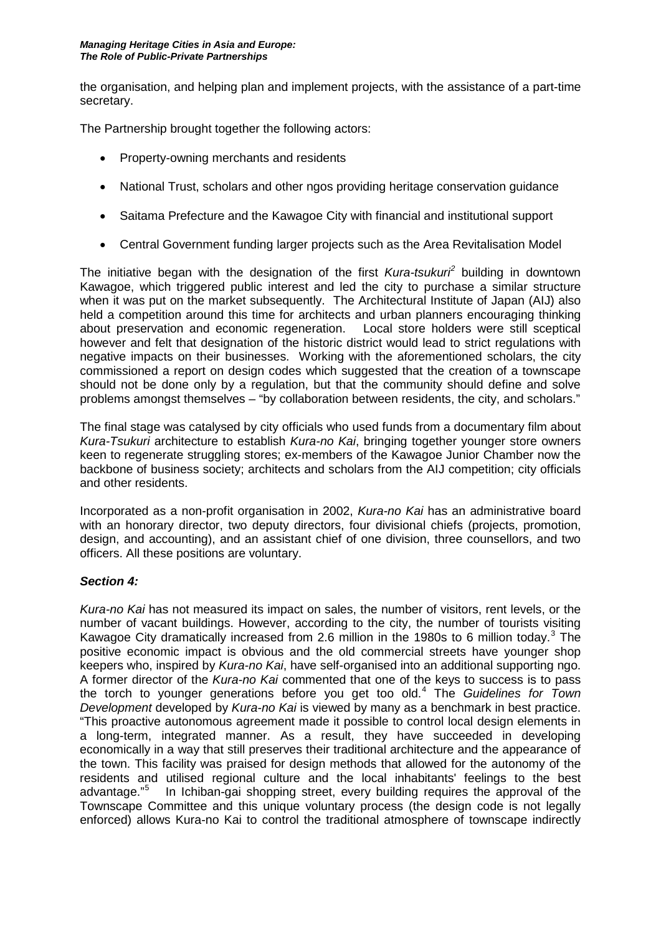the organisation, and helping plan and implement projects, with the assistance of a part-time secretary.

The Partnership brought together the following actors:

- Property-owning merchants and residents
- National Trust, scholars and other ngos providing heritage conservation guidance
- Saitama Prefecture and the Kawagoe City with financial and institutional support
- Central Government funding larger projects such as the Area Revitalisation Model

The initiative began with the designation of the first *Kura-tsukuri[2](#page-3-1)* building in downtown Kawagoe, which triggered public interest and led the city to purchase a similar structure when it was put on the market subsequently. The Architectural Institute of Japan (AIJ) also held a competition around this time for architects and urban planners encouraging thinking<br>about preservation and economic regeneration. Local store holders were still sceptical about preservation and economic regeneration. however and felt that designation of the historic district would lead to strict regulations with negative impacts on their businesses. Working with the aforementioned scholars, the city commissioned a report on design codes which suggested that the creation of a townscape should not be done only by a regulation, but that the community should define and solve problems amongst themselves – "by collaboration between residents, the city, and scholars."

The final stage was catalysed by city officials who used funds from a documentary film about *Kura-Tsukuri* architecture to establish *Kura-no Kai*, bringing together younger store owners keen to regenerate struggling stores; ex-members of the Kawagoe Junior Chamber now the backbone of business society; architects and scholars from the AIJ competition; city officials and other residents.

Incorporated as a non-profit organisation in 2002, *Kura-no Kai* has an administrative board with an honorary director, two deputy directors, four divisional chiefs (projects, promotion, design, and accounting), and an assistant chief of one division, three counsellors, and two officers. All these positions are voluntary.

#### *Section 4:*

*Kura-no Kai* has not measured its impact on sales, the number of visitors, rent levels, or the number of vacant buildings. However, according to the city, the number of tourists visiting Kawagoe City dramatically increased from 2.6 million in the 1980s to 6 million today.<sup>[3](#page-3-2)</sup> The positive economic impact is obvious and the old commercial streets have younger shop keepers who, inspired by *Kura-no Kai*, have self-organised into an additional supporting ngo. A former director of the *Kura-no Kai* commented that one of the keys to success is to pass the torch to younger generations before you get too old. [4](#page-3-3) The *Guidelines for Town Development* developed by *Kura-no Kai* is viewed by many as a benchmark in best practice. "This proactive autonomous agreement made it possible to control local design elements in a long-term, integrated manner. As a result, they have succeeded in developing economically in a way that still preserves their traditional architecture and the appearance of the town. This facility was praised for design methods that allowed for the autonomy of the residents and utilised regional culture and the local inhabitants' feelings to the best advantage." [5](#page-3-4) In Ichiban-gai shopping street, every building requires the approval of the Townscape Committee and this unique voluntary process (the design code is not legally enforced) allows Kura-no Kai to control the traditional atmosphere of townscape indirectly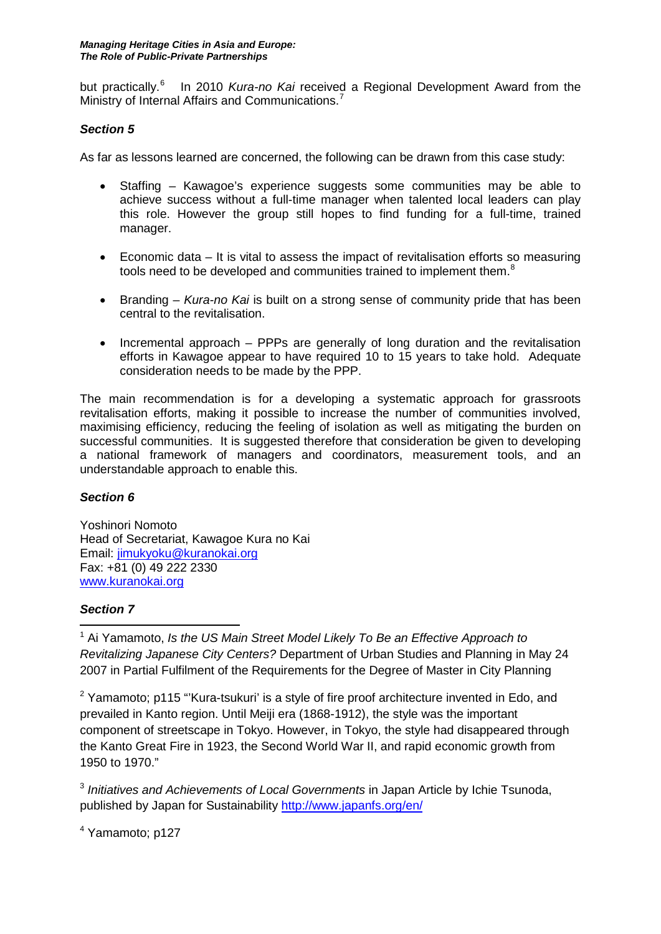but practically.<sup>[6](#page-3-5)</sup> In 2010 Kura-no Kai received a Regional Development Award from the Ministry of Internal Affairs and Communications.<sup>[7](#page-3-6)</sup>

## *Section 5*

As far as lessons learned are concerned, the following can be drawn from this case study:

- Staffing Kawagoe's experience suggests some communities may be able to achieve success without a full-time manager when talented local leaders can play this role. However the group still hopes to find funding for a full-time, trained manager.
- Economic data It is vital to assess the impact of revitalisation efforts so measuring tools need to be developed and communities trained to implement them. $8$
- Branding *Kura-no Kai* is built on a strong sense of community pride that has been central to the revitalisation.
- Incremental approach PPPs are generally of long duration and the revitalisation efforts in Kawagoe appear to have required 10 to 15 years to take hold. Adequate consideration needs to be made by the PPP.

The main recommendation is for a developing a systematic approach for grassroots revitalisation efforts, making it possible to increase the number of communities involved, maximising efficiency, reducing the feeling of isolation as well as mitigating the burden on successful communities. It is suggested therefore that consideration be given to developing a national framework of managers and coordinators, measurement tools, and an understandable approach to enable this.

# *Section 6*

Yoshinori Nomoto Head of Secretariat, Kawagoe Kura no Kai Email: [jimukyoku@kuranokai.org](mailto:jimukyoku@kuranokai.org) Fax: +81 (0) 49 222 2330 [www.kuranokai.org](http://www.kuranokai.org/)

# *Section 7*

**.** <sup>1</sup> Ai Yamamoto, *Is the US Main Street Model Likely To Be an Effective Approach to Revitalizing Japanese City Centers?* Department of Urban Studies and Planning in May 24 2007 in Partial Fulfilment of the Requirements for the Degree of Master in City Planning

 $2$  Yamamoto; p115 "Kura-tsukuri' is a style of fire proof architecture invented in Edo, and prevailed in Kanto region. Until Meiji era (1868-1912), the style was the important component of streetscape in Tokyo. However, in Tokyo, the style had disappeared through the Kanto Great Fire in 1923, the Second World War II, and rapid economic growth from 1950 to 1970."

<sup>3</sup> *Initiatives and Achievements of Local Governments* in Japan Article by Ichie Tsunoda, published by Japan for Sustainability<http://www.japanfs.org/en/>

<sup>4</sup> Yamamoto; p127